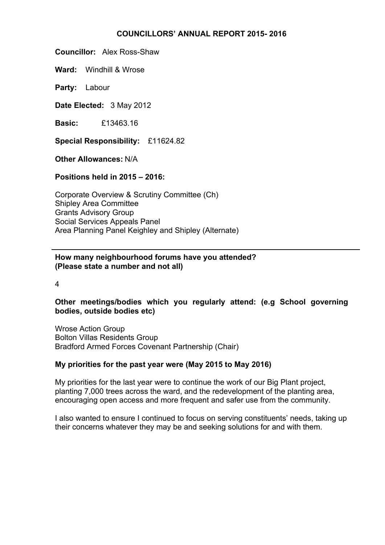#### **COUNCILLORS' ANNUAL REPORT 2015- 2016**

**Councillor:** Alex Ross-Shaw

**Ward:** Windhill & Wrose

**Party:** Labour

**Date Elected:** 3 May 2012

**Basic:** £13463.16

**Special Responsibility:** £11624.82

**Other Allowances:** N/A

**Positions held in 2015 – 2016:**

Corporate Overview & Scrutiny Committee (Ch) Shipley Area Committee Grants Advisory Group Social Services Appeals Panel Area Planning Panel Keighley and Shipley (Alternate)

# **How many neighbourhood forums have you attended? (Please state a number and not all)**

4

# **Other meetings/bodies which you regularly attend: (e.g School governing bodies, outside bodies etc)**

Wrose Action Group Bolton Villas Residents Group Bradford Armed Forces Covenant Partnership (Chair)

# **My priorities for the past year were (May 2015 to May 2016)**

My priorities for the last year were to continue the work of our Big Plant project, planting 7,000 trees across the ward, and the redevelopment of the planting area, encouraging open access and more frequent and safer use from the community.

I also wanted to ensure I continued to focus on serving constituents' needs, taking up their concerns whatever they may be and seeking solutions for and with them.